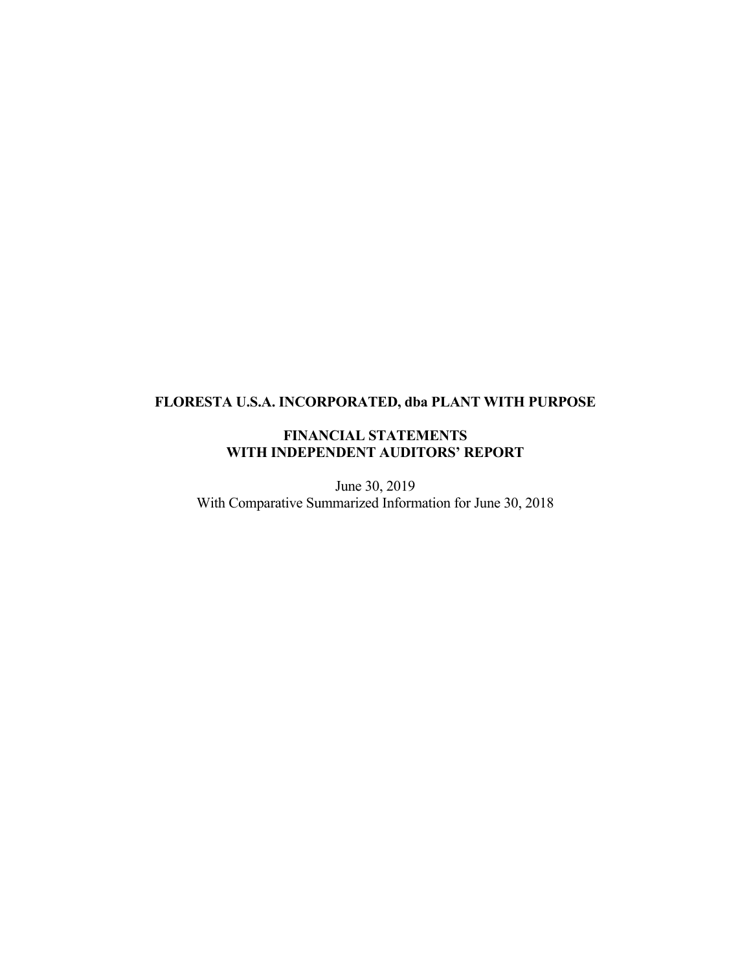# **FLORESTA U.S.A. INCORPORATED, dba PLANT WITH PURPOSE**

# **FINANCIAL STATEMENTS WITH INDEPENDENT AUDITORS' REPORT**

June 30, 2019 With Comparative Summarized Information for June 30, 2018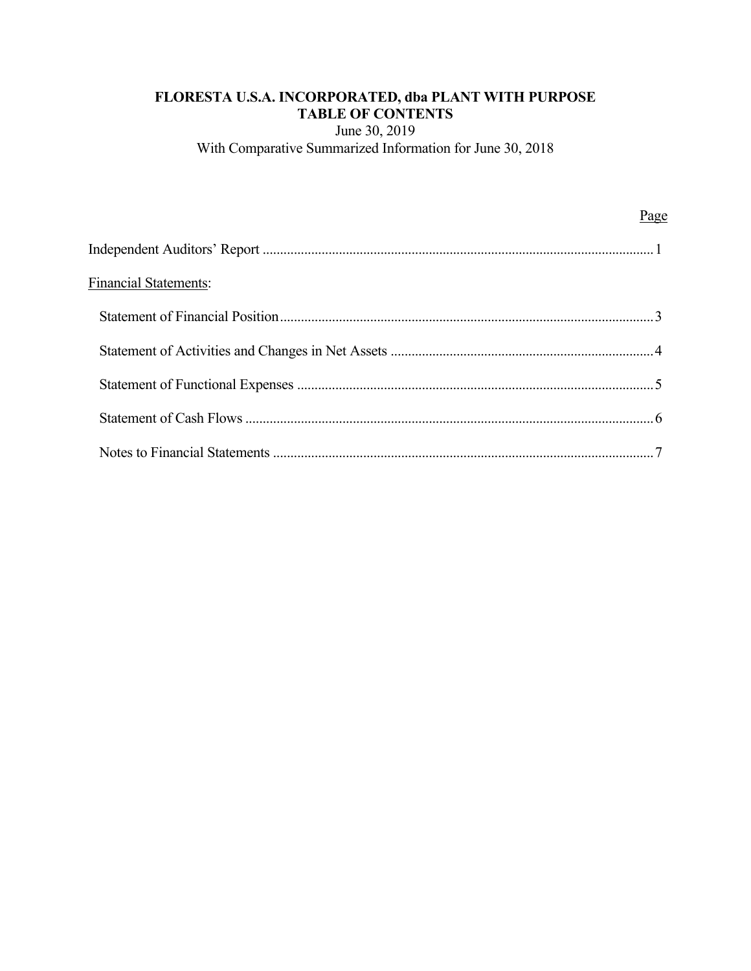# **FLORESTA U.S.A. INCORPORATED, dba PLANT WITH PURPOSE TABLE OF CONTENTS**

June 30, 2019 With Comparative Summarized Information for June 30, 2018

|                              | Page |
|------------------------------|------|
|                              |      |
| <b>Financial Statements:</b> |      |
|                              |      |
|                              |      |
|                              |      |
|                              |      |
|                              |      |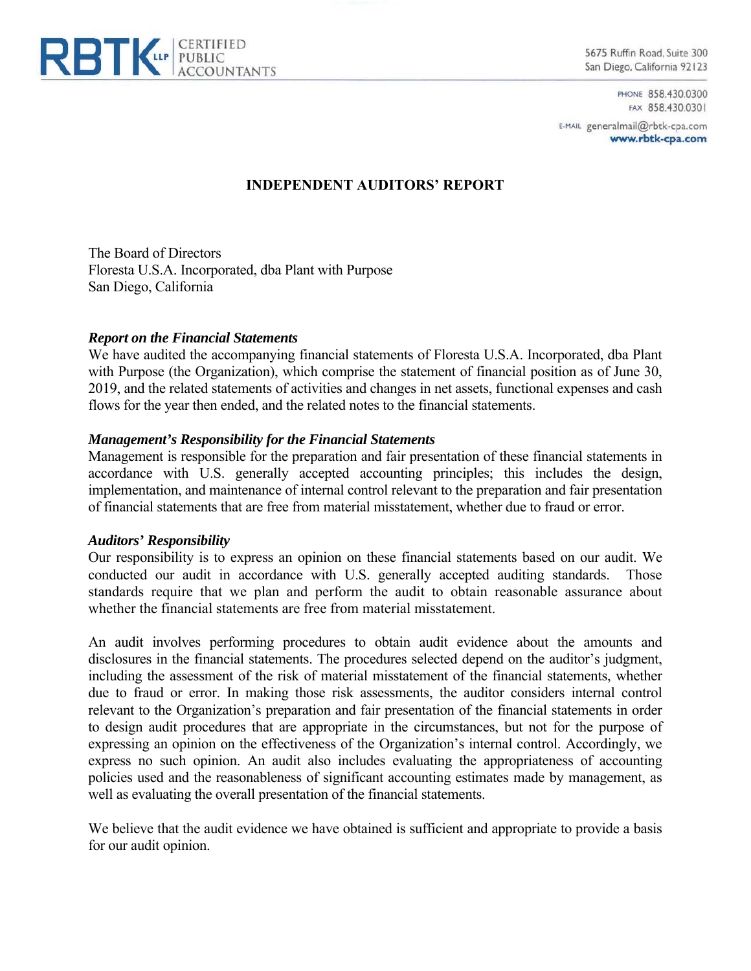

5675 Ruffin Road, Suite 300 San Diego, California 92123

> PHONE 858.430.0300 FAX 858,430.0301

E-MAIL generalmail@rbtk-cpa.com www.rbtk-cpa.com

# **INDEPENDENT AUDITORS' REPORT**

The Board of Directors Floresta U.S.A. Incorporated, dba Plant with Purpose San Diego, California

#### *Report on the Financial Statements*

We have audited the accompanying financial statements of Floresta U.S.A. Incorporated, dba Plant with Purpose (the Organization), which comprise the statement of financial position as of June 30, 2019, and the related statements of activities and changes in net assets, functional expenses and cash flows for the year then ended, and the related notes to the financial statements.

#### *Management's Responsibility for the Financial Statements*

Management is responsible for the preparation and fair presentation of these financial statements in accordance with U.S. generally accepted accounting principles; this includes the design, implementation, and maintenance of internal control relevant to the preparation and fair presentation of financial statements that are free from material misstatement, whether due to fraud or error.

#### *Auditors' Responsibility*

Our responsibility is to express an opinion on these financial statements based on our audit. We conducted our audit in accordance with U.S. generally accepted auditing standards. Those standards require that we plan and perform the audit to obtain reasonable assurance about whether the financial statements are free from material misstatement.

An audit involves performing procedures to obtain audit evidence about the amounts and disclosures in the financial statements. The procedures selected depend on the auditor's judgment, including the assessment of the risk of material misstatement of the financial statements, whether due to fraud or error. In making those risk assessments, the auditor considers internal control relevant to the Organization's preparation and fair presentation of the financial statements in order to design audit procedures that are appropriate in the circumstances, but not for the purpose of expressing an opinion on the effectiveness of the Organization's internal control. Accordingly, we express no such opinion. An audit also includes evaluating the appropriateness of accounting policies used and the reasonableness of significant accounting estimates made by management, as well as evaluating the overall presentation of the financial statements.

We believe that the audit evidence we have obtained is sufficient and appropriate to provide a basis for our audit opinion.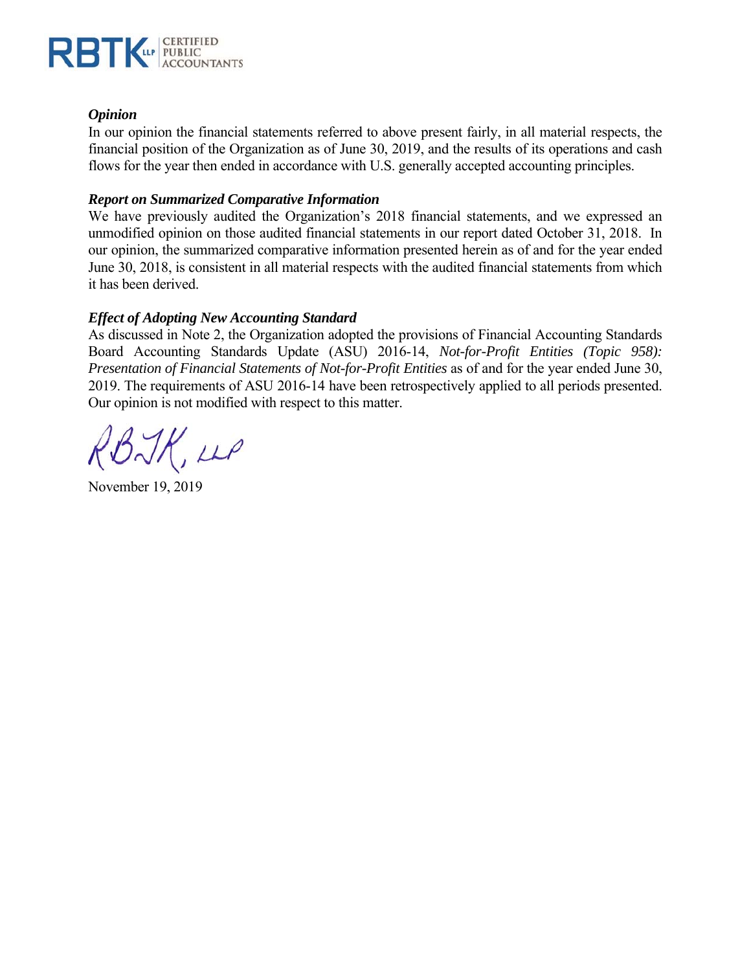

## *Opinion*

In our opinion the financial statements referred to above present fairly, in all material respects, the financial position of the Organization as of June 30, 2019, and the results of its operations and cash flows for the year then ended in accordance with U.S. generally accepted accounting principles.

## *Report on Summarized Comparative Information*

We have previously audited the Organization's 2018 financial statements, and we expressed an unmodified opinion on those audited financial statements in our report dated October 31, 2018. In our opinion, the summarized comparative information presented herein as of and for the year ended June 30, 2018, is consistent in all material respects with the audited financial statements from which it has been derived.

# *Effect of Adopting New Accounting Standard*

As discussed in Note 2, the Organization adopted the provisions of Financial Accounting Standards Board Accounting Standards Update (ASU) 2016-14, *Not-for-Profit Entities (Topic 958): Presentation of Financial Statements of Not-for-Profit Entities* as of and for the year ended June 30, 2019. The requirements of ASU 2016-14 have been retrospectively applied to all periods presented. Our opinion is not modified with respect to this matter.

RBJK, LLP

November 19, 2019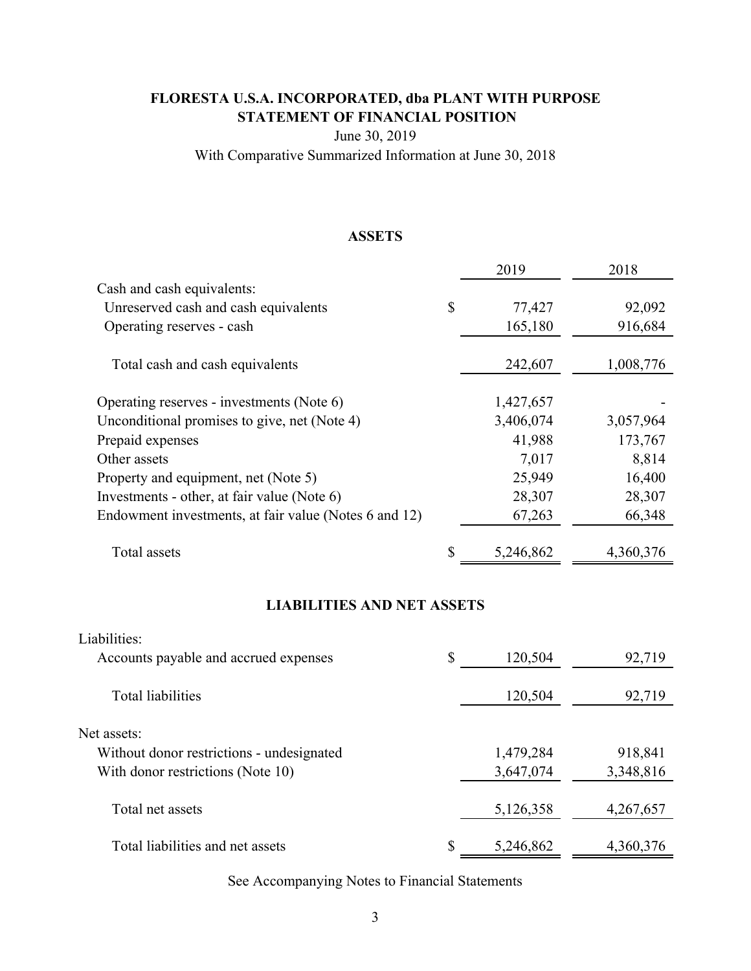# **FLORESTA U.S.A. INCORPORATED, dba PLANT WITH PURPOSE STATEMENT OF FINANCIAL POSITION**

June 30, 2019

With Comparative Summarized Information at June 30, 2018

# **ASSETS**

|                                                       |              | 2019      | 2018      |
|-------------------------------------------------------|--------------|-----------|-----------|
| Cash and cash equivalents:                            |              |           |           |
| Unreserved cash and cash equivalents                  | $\mathbb{S}$ | 77,427    | 92,092    |
| Operating reserves - cash                             |              | 165,180   | 916,684   |
| Total cash and cash equivalents                       |              | 242,607   | 1,008,776 |
| Operating reserves - investments (Note 6)             |              | 1,427,657 |           |
| Unconditional promises to give, net (Note 4)          |              | 3,406,074 | 3,057,964 |
| Prepaid expenses                                      |              | 41,988    | 173,767   |
| Other assets                                          |              | 7,017     | 8,814     |
| Property and equipment, net (Note 5)                  |              | 25,949    | 16,400    |
| Investments - other, at fair value (Note 6)           |              | 28,307    | 28,307    |
| Endowment investments, at fair value (Notes 6 and 12) |              | 67,263    | 66,348    |
| Total assets                                          | \$           | 5,246,862 | 4,360,376 |

# **LIABILITIES AND NET ASSETS**

| Liabilities:<br>Accounts payable and accrued expenses | \$<br>120,504   | 92,719    |
|-------------------------------------------------------|-----------------|-----------|
| Total liabilities                                     | 120,504         | 92,719    |
| Net assets:                                           |                 |           |
| Without donor restrictions - undesignated             | 1,479,284       | 918,841   |
| With donor restrictions (Note 10)                     | 3,647,074       | 3,348,816 |
| Total net assets                                      | 5,126,358       | 4,267,657 |
| Total liabilities and net assets                      | \$<br>5,246,862 | 4,360,376 |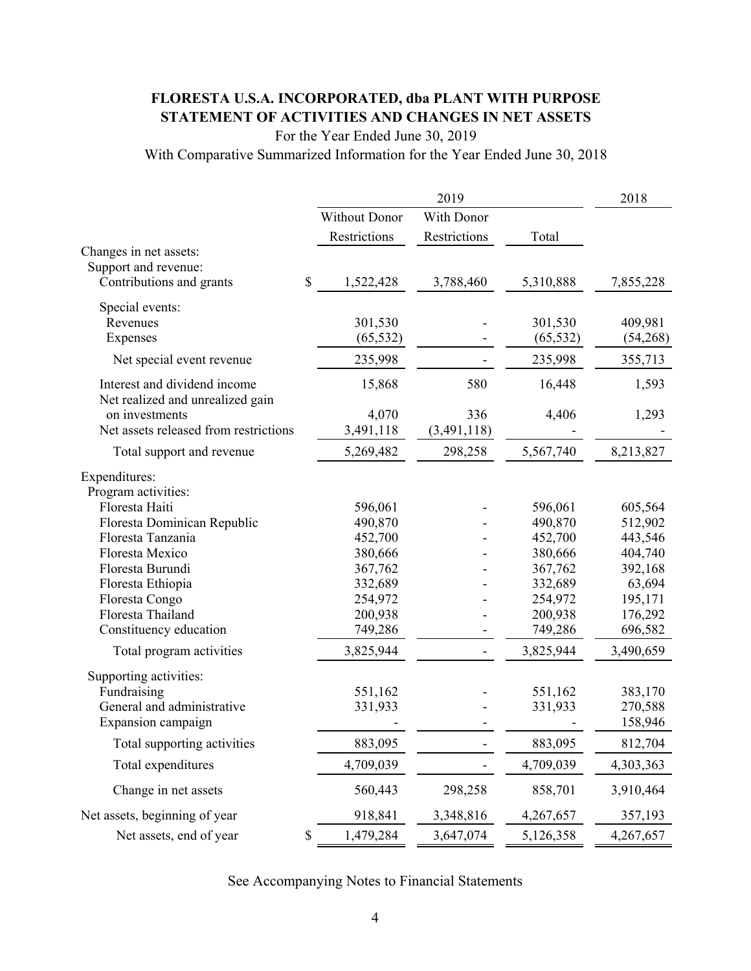# **FLORESTA U.S.A. INCORPORATED, dba PLANT WITH PURPOSE STATEMENT OF ACTIVITIES AND CHANGES IN NET ASSETS**

For the Year Ended June 30, 2019

With Comparative Summarized Information for the Year Ended June 30, 2018

|                                       |                      |              | 2018      |           |
|---------------------------------------|----------------------|--------------|-----------|-----------|
|                                       | <b>Without Donor</b> | With Donor   |           |           |
|                                       | Restrictions         | Restrictions | Total     |           |
| Changes in net assets:                |                      |              |           |           |
| Support and revenue:                  |                      |              |           |           |
| Contributions and grants              | \$<br>1,522,428      | 3,788,460    | 5,310,888 | 7,855,228 |
| Special events:                       |                      |              |           |           |
| Revenues                              | 301,530              |              | 301,530   | 409,981   |
| Expenses                              | (65, 532)            |              | (65, 532) | (54,268)  |
| Net special event revenue             | 235,998              |              | 235,998   | 355,713   |
| Interest and dividend income          | 15,868               | 580          | 16,448    | 1,593     |
| Net realized and unrealized gain      |                      |              |           |           |
| on investments                        | 4,070                | 336          | 4,406     | 1,293     |
| Net assets released from restrictions | 3,491,118            | (3,491,118)  |           |           |
| Total support and revenue             | 5,269,482            | 298,258      | 5,567,740 | 8,213,827 |
| Expenditures:                         |                      |              |           |           |
| Program activities:                   |                      |              |           |           |
| Floresta Haiti                        | 596,061              |              | 596,061   | 605,564   |
| Floresta Dominican Republic           | 490,870              |              | 490,870   | 512,902   |
| Floresta Tanzania                     | 452,700              |              | 452,700   | 443,546   |
| Floresta Mexico                       | 380,666              |              | 380,666   | 404,740   |
| Floresta Burundi                      | 367,762              |              | 367,762   | 392,168   |
| Floresta Ethiopia                     | 332,689              |              | 332,689   | 63,694    |
| Floresta Congo                        | 254,972              |              | 254,972   | 195,171   |
| Floresta Thailand                     | 200,938              |              | 200,938   | 176,292   |
| Constituency education                | 749,286              |              | 749,286   | 696,582   |
| Total program activities              | 3,825,944            |              | 3,825,944 | 3,490,659 |
| Supporting activities:                |                      |              |           |           |
| Fundraising                           | 551,162              |              | 551,162   | 383,170   |
| General and administrative            | 331,933              |              | 331,933   | 270,588   |
| Expansion campaign                    |                      |              |           | 158,946   |
| Total supporting activities           | 883,095              |              | 883,095   | 812,704   |
| Total expenditures                    | 4,709,039            |              | 4,709,039 | 4,303,363 |
| Change in net assets                  | 560,443              | 298,258      | 858,701   | 3,910,464 |
| Net assets, beginning of year         | 918,841              | 3,348,816    | 4,267,657 | 357,193   |
| Net assets, end of year               | \$<br>1,479,284      | 3,647,074    | 5,126,358 | 4,267,657 |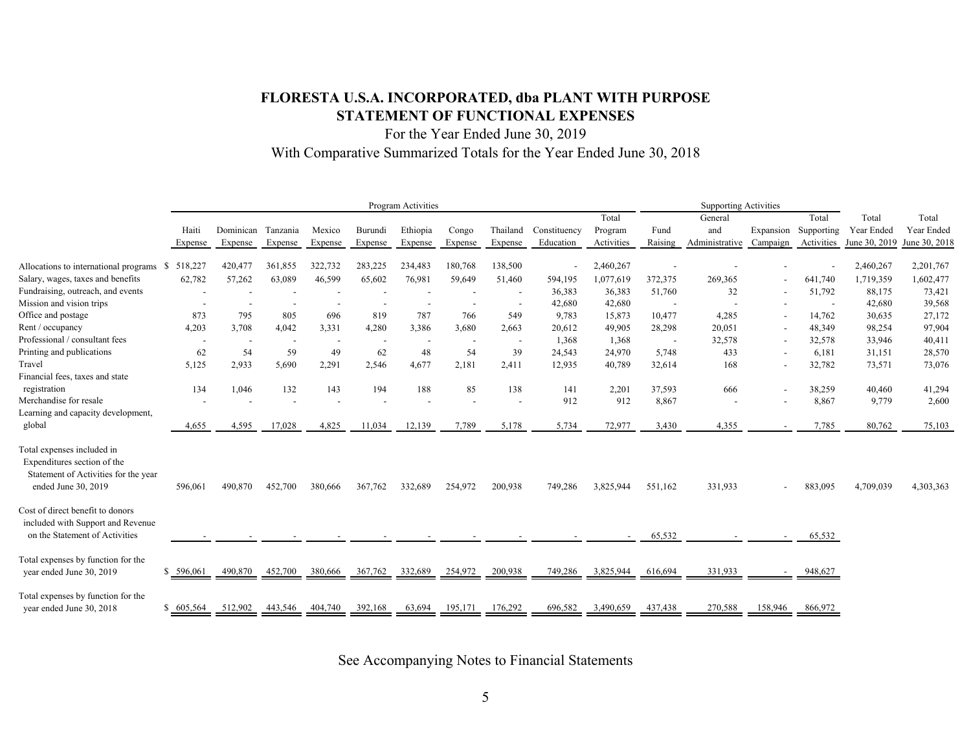# **FLORESTA U.S.A. INCORPORATED, dba PLANT WITH PURPOSE STATEMENT OF FUNCTIONAL EXPENSES**

For the Year Ended June 30, 2019 With Comparative Summarized Totals for the Year Ended June 30, 2018

|                                                                                                                          |            | Program Activities       |          |         |         |          |                          |                          |              | <b>Supporting Activities</b> |                          |                |                          |                          |               |               |
|--------------------------------------------------------------------------------------------------------------------------|------------|--------------------------|----------|---------|---------|----------|--------------------------|--------------------------|--------------|------------------------------|--------------------------|----------------|--------------------------|--------------------------|---------------|---------------|
|                                                                                                                          |            |                          |          |         |         |          |                          |                          |              | Total                        |                          | General        |                          | Total                    | Total         | Total         |
|                                                                                                                          | Haiti      | Dominican                | Tanzania | Mexico  | Burundi | Ethiopia | Congo                    | Thailand                 | Constituency | Program                      | Fund                     | and            | Expansion                | Supporting               | Year Ended    | Year Ended    |
|                                                                                                                          | Expense    | Expense                  | Expense  | Expense | Expense | Expense  | Expense                  | Expense                  | Education    | Activities                   | Raising                  | Administrative | Campaign                 | Activities               | June 30, 2019 | June 30, 2018 |
| Allocations to international programs \$                                                                                 | 518,227    | 420,477                  | 361,855  | 322,732 | 283,225 | 234,483  | 180,768                  | 138,500                  |              | 2,460,267                    |                          |                |                          |                          | 2,460,267     | 2,201,767     |
| Salary, wages, taxes and benefits                                                                                        | 62,782     | 57,262                   | 63,089   | 46,599  | 65,602  | 76,981   | 59,649                   | 51,460                   | 594,195      | 1,077,619                    | 372,375                  | 269,365        |                          | 641,740                  | 1,719,359     | 1,602,477     |
| Fundraising, outreach, and events                                                                                        |            |                          |          |         |         |          |                          | $\overline{\phantom{a}}$ | 36,383       | 36,383                       | 51,760                   | 32             |                          | 51,792                   | 88,175        | 73,421        |
| Mission and vision trips                                                                                                 |            |                          |          |         |         |          |                          |                          | 42,680       | 42,680                       | $\overline{\phantom{a}}$ |                |                          | $\overline{\phantom{a}}$ | 42,680        | 39,568        |
| Office and postage                                                                                                       | 873        | 795                      | 805      | 696     | 819     | 787      | 766                      | 549                      | 9,783        | 15,873                       | 10,477                   | 4,285          |                          | 14,762                   | 30,635        | 27,172        |
| Rent / occupancy                                                                                                         | 4,203      | 3,708                    | 4,042    | 3,331   | 4,280   | 3,386    | 3,680                    | 2,663                    | 20,612       | 49,905                       | 28,298                   | 20,051         | $\overline{\phantom{a}}$ | 48,349                   | 98,254        | 97,904        |
| Professional / consultant fees                                                                                           |            | $\overline{\phantom{a}}$ |          |         |         |          | $\overline{\phantom{a}}$ | $\overline{\phantom{a}}$ | 1,368        | 1,368                        | $\overline{\phantom{a}}$ | 32,578         |                          | 32,578                   | 33,946        | 40,411        |
| Printing and publications                                                                                                | 62         | 54                       | 59       | 49      | 62      | 48       | 54                       | 39                       | 24,543       | 24,970                       | 5,748                    | 433            |                          | 6,181                    | 31,151        | 28,570        |
| Travel                                                                                                                   | 5,125      | 2,933                    | 5,690    | 2,291   | 2,546   | 4,677    | 2,181                    | 2,411                    | 12,935       | 40,789                       | 32,614                   | 168            |                          | 32,782                   | 73,571        | 73,076        |
| Financial fees, taxes and state                                                                                          |            |                          |          |         |         |          |                          |                          |              |                              |                          |                |                          |                          |               |               |
| registration                                                                                                             | 134        | 1,046                    | 132      | 143     | 194     | 188      | 85                       | 138                      | 141          | 2,201                        | 37,593                   | 666            |                          | 38,259                   | 40,460        | 41,294        |
| Merchandise for resale                                                                                                   |            |                          |          |         |         |          |                          |                          | 912          | 912                          | 8,867                    |                |                          | 8,867                    | 9.779         | 2,600         |
| Learning and capacity development,                                                                                       |            |                          |          |         |         |          |                          |                          |              |                              |                          |                |                          |                          |               |               |
| global                                                                                                                   | 4,655      | 4,595                    | 17,028   | 4,825   | 11,034  | 12,139   | 7,789                    | 5,178                    | 5,734        | 72,977                       | 3,430                    | 4,355          |                          | 7,785                    | 80,762        | 75,103        |
| Total expenses included in<br>Expenditures section of the<br>Statement of Activities for the year<br>ended June 30, 2019 | 596,061    | 490,870                  | 452,700  | 380,666 | 367,762 | 332,689  | 254,972                  | 200,938                  | 749,286      | 3,825,944                    | 551,162                  | 331,933        |                          | 883,095                  | 4,709,039     | 4,303,363     |
| Cost of direct benefit to donors<br>included with Support and Revenue<br>on the Statement of Activities                  |            |                          |          |         |         |          |                          |                          |              |                              | 65,532                   |                |                          | 65,532                   |               |               |
| Total expenses by function for the<br>year ended June 30, 2019                                                           | \$ 596,061 | 490,870                  | 452,700  | 380,666 | 367,762 | 332,689  | 254,972                  | 200,938                  | 749,286      | 3,825,944                    | 616,694                  | 331,933        |                          | 948,627                  |               |               |
| Total expenses by function for the<br>year ended June 30, 2018                                                           | \$ 605,564 | 512,902                  | 443.546  | 404,740 | 392,168 | 63,694   | 195,171                  | 176.292                  | 696,582      | 3.490.659                    | 437,438                  | 270,588        | 158,946                  | 866,972                  |               |               |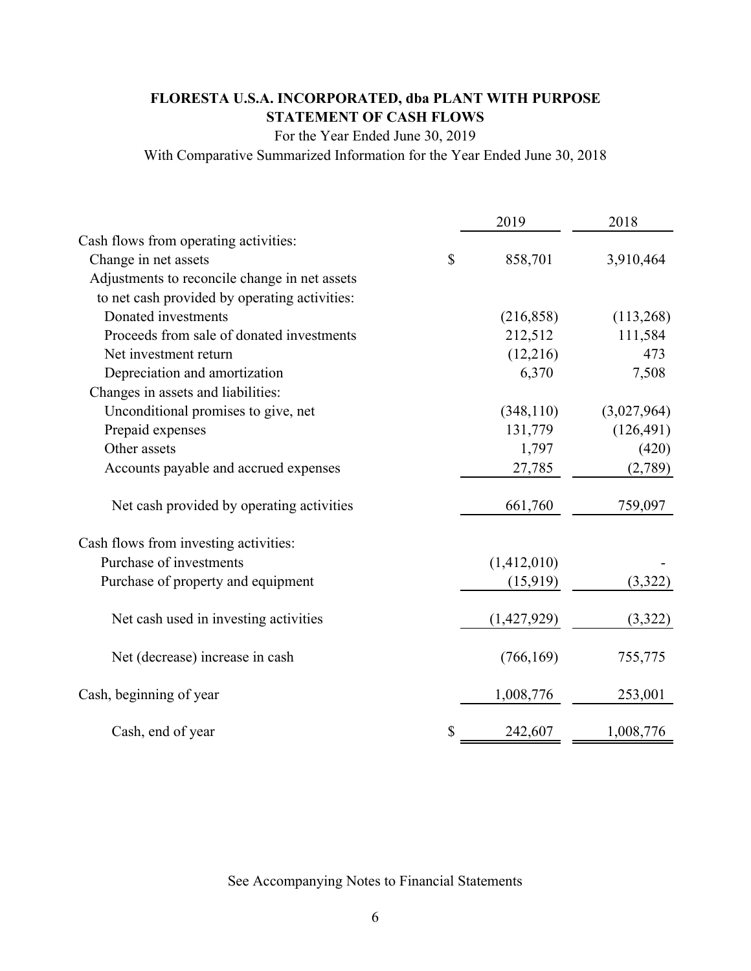# **FLORESTA U.S.A. INCORPORATED, dba PLANT WITH PURPOSE STATEMENT OF CASH FLOWS**

For the Year Ended June 30, 2019

With Comparative Summarized Information for the Year Ended June 30, 2018

|                                               |              | 2019        | 2018        |
|-----------------------------------------------|--------------|-------------|-------------|
| Cash flows from operating activities:         |              |             |             |
| Change in net assets                          | $\mathbb{S}$ | 858,701     | 3,910,464   |
| Adjustments to reconcile change in net assets |              |             |             |
| to net cash provided by operating activities: |              |             |             |
| Donated investments                           |              | (216, 858)  | (113,268)   |
| Proceeds from sale of donated investments     |              | 212,512     | 111,584     |
| Net investment return                         |              | (12,216)    | 473         |
| Depreciation and amortization                 |              | 6,370       | 7,508       |
| Changes in assets and liabilities:            |              |             |             |
| Unconditional promises to give, net           |              | (348, 110)  | (3,027,964) |
| Prepaid expenses                              |              | 131,779     | (126, 491)  |
| Other assets                                  |              | 1,797       | (420)       |
| Accounts payable and accrued expenses         |              | 27,785      | (2,789)     |
| Net cash provided by operating activities     |              | 661,760     | 759,097     |
| Cash flows from investing activities:         |              |             |             |
| Purchase of investments                       |              | (1,412,010) |             |
| Purchase of property and equipment            |              | (15,919)    | (3, 322)    |
| Net cash used in investing activities         |              | (1,427,929) | (3,322)     |
| Net (decrease) increase in cash               |              | (766, 169)  | 755,775     |
| Cash, beginning of year                       |              | 1,008,776   | 253,001     |
| Cash, end of year                             | \$           | 242,607     | 1,008,776   |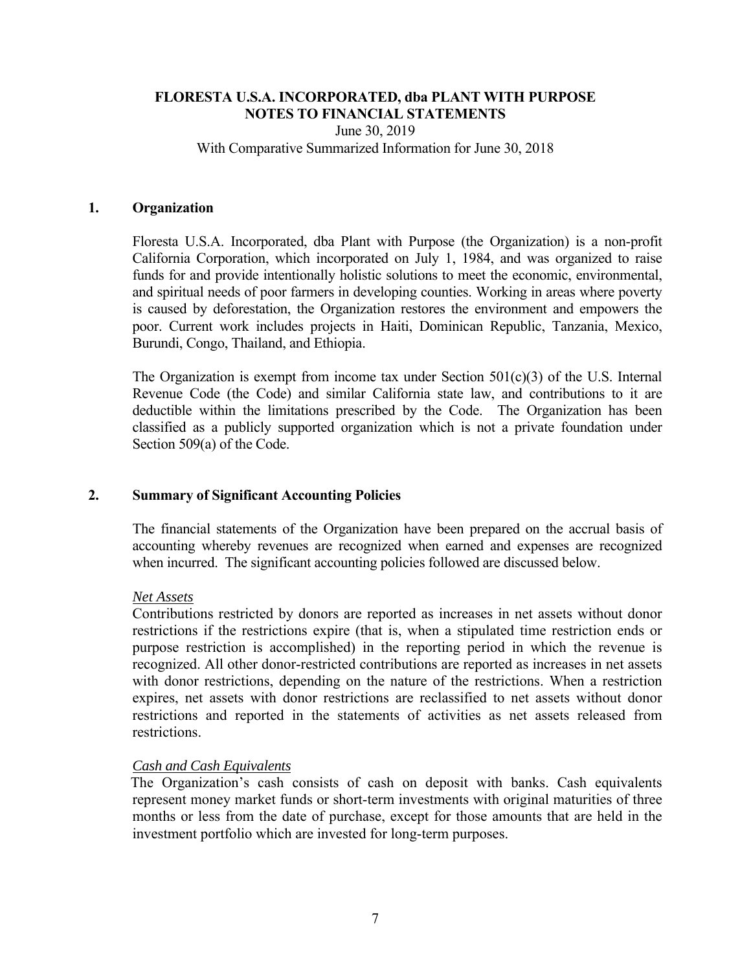June 30, 2019 With Comparative Summarized Information for June 30, 2018

#### **1. Organization**

Floresta U.S.A. Incorporated, dba Plant with Purpose (the Organization) is a non-profit California Corporation, which incorporated on July 1, 1984, and was organized to raise funds for and provide intentionally holistic solutions to meet the economic, environmental, and spiritual needs of poor farmers in developing counties. Working in areas where poverty is caused by deforestation, the Organization restores the environment and empowers the poor. Current work includes projects in Haiti, Dominican Republic, Tanzania, Mexico, Burundi, Congo, Thailand, and Ethiopia.

The Organization is exempt from income tax under Section  $501(c)(3)$  of the U.S. Internal Revenue Code (the Code) and similar California state law, and contributions to it are deductible within the limitations prescribed by the Code. The Organization has been classified as a publicly supported organization which is not a private foundation under Section 509(a) of the Code.

# **2. Summary of Significant Accounting Policies**

The financial statements of the Organization have been prepared on the accrual basis of accounting whereby revenues are recognized when earned and expenses are recognized when incurred. The significant accounting policies followed are discussed below.

#### *Net Assets*

 Contributions restricted by donors are reported as increases in net assets without donor restrictions if the restrictions expire (that is, when a stipulated time restriction ends or purpose restriction is accomplished) in the reporting period in which the revenue is recognized. All other donor-restricted contributions are reported as increases in net assets with donor restrictions, depending on the nature of the restrictions. When a restriction expires, net assets with donor restrictions are reclassified to net assets without donor restrictions and reported in the statements of activities as net assets released from restrictions.

# *Cash and Cash Equivalents*

The Organization's cash consists of cash on deposit with banks. Cash equivalents represent money market funds or short-term investments with original maturities of three months or less from the date of purchase, except for those amounts that are held in the investment portfolio which are invested for long-term purposes.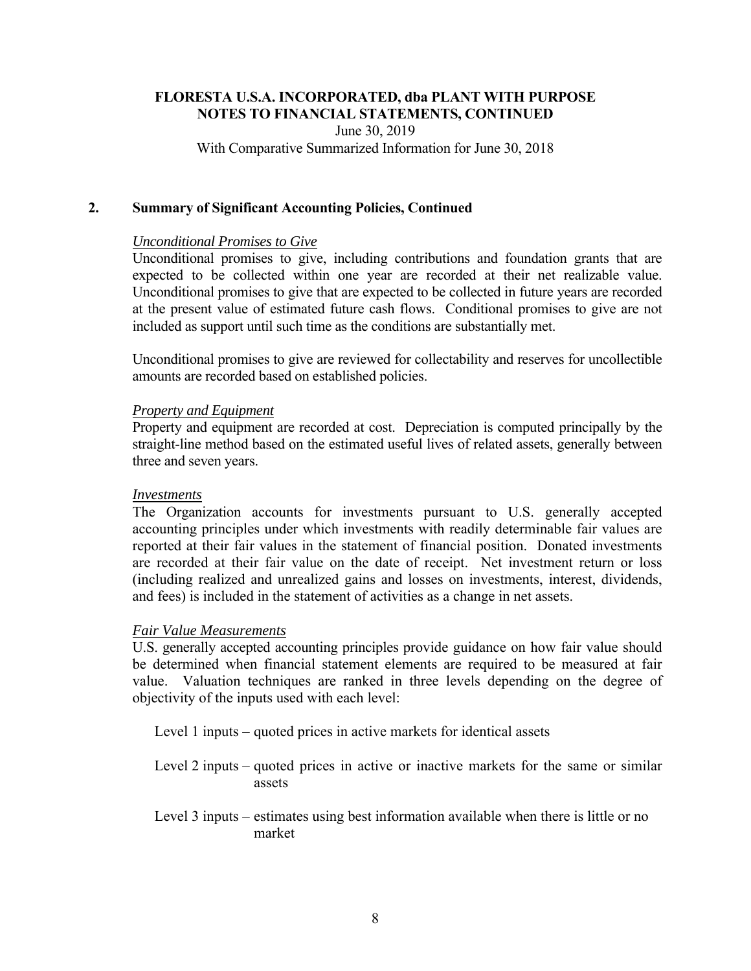June 30, 2019 With Comparative Summarized Information for June 30, 2018

#### **2. Summary of Significant Accounting Policies, Continued**

#### *Unconditional Promises to Give*

 Unconditional promises to give, including contributions and foundation grants that are expected to be collected within one year are recorded at their net realizable value. Unconditional promises to give that are expected to be collected in future years are recorded at the present value of estimated future cash flows. Conditional promises to give are not included as support until such time as the conditions are substantially met.

 Unconditional promises to give are reviewed for collectability and reserves for uncollectible amounts are recorded based on established policies.

#### *Property and Equipment*

Property and equipment are recorded at cost. Depreciation is computed principally by the straight-line method based on the estimated useful lives of related assets, generally between three and seven years.

#### *Investments*

The Organization accounts for investments pursuant to U.S. generally accepted accounting principles under which investments with readily determinable fair values are reported at their fair values in the statement of financial position. Donated investments are recorded at their fair value on the date of receipt. Net investment return or loss (including realized and unrealized gains and losses on investments, interest, dividends, and fees) is included in the statement of activities as a change in net assets.

#### *Fair Value Measurements*

U.S. generally accepted accounting principles provide guidance on how fair value should be determined when financial statement elements are required to be measured at fair value. Valuation techniques are ranked in three levels depending on the degree of objectivity of the inputs used with each level:

Level 1 inputs – quoted prices in active markets for identical assets

Level 2 inputs – quoted prices in active or inactive markets for the same or similar assets

Level 3 inputs – estimates using best information available when there is little or no market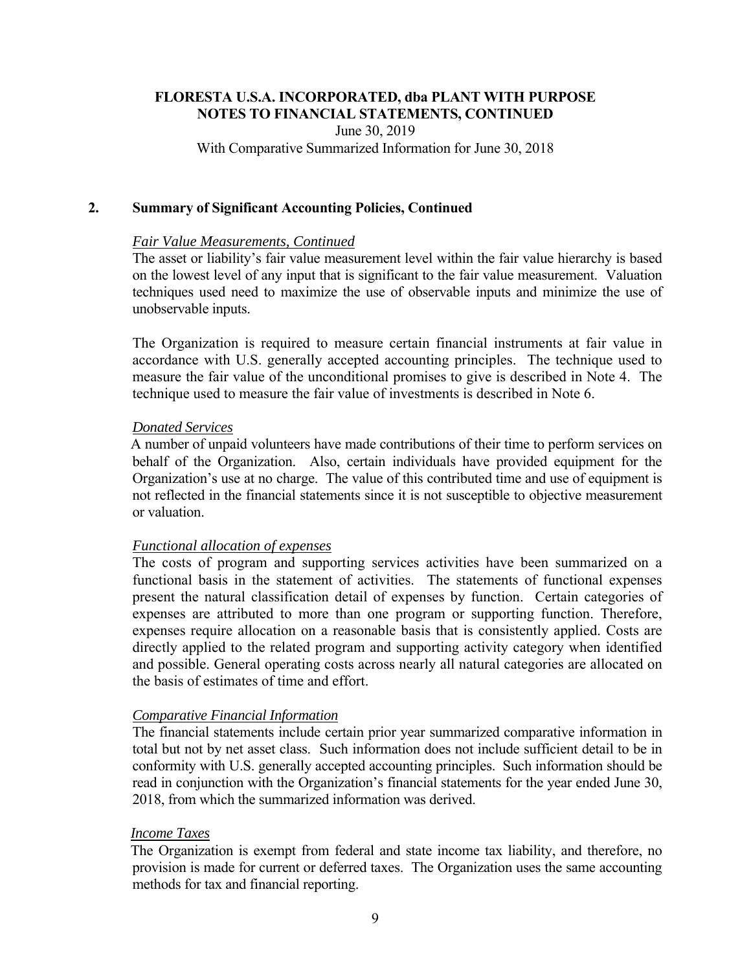June 30, 2019 With Comparative Summarized Information for June 30, 2018

#### **2. Summary of Significant Accounting Policies, Continued**

#### *Fair Value Measurements, Continued*

The asset or liability's fair value measurement level within the fair value hierarchy is based on the lowest level of any input that is significant to the fair value measurement. Valuation techniques used need to maximize the use of observable inputs and minimize the use of unobservable inputs.

The Organization is required to measure certain financial instruments at fair value in accordance with U.S. generally accepted accounting principles. The technique used to measure the fair value of the unconditional promises to give is described in Note 4. The technique used to measure the fair value of investments is described in Note 6.

#### *Donated Services*

A number of unpaid volunteers have made contributions of their time to perform services on behalf of the Organization. Also, certain individuals have provided equipment for the Organization's use at no charge. The value of this contributed time and use of equipment is not reflected in the financial statements since it is not susceptible to objective measurement or valuation.

#### *Functional allocation of expenses*

The costs of program and supporting services activities have been summarized on a functional basis in the statement of activities. The statements of functional expenses present the natural classification detail of expenses by function. Certain categories of expenses are attributed to more than one program or supporting function. Therefore, expenses require allocation on a reasonable basis that is consistently applied. Costs are directly applied to the related program and supporting activity category when identified and possible. General operating costs across nearly all natural categories are allocated on the basis of estimates of time and effort.

#### *Comparative Financial Information*

The financial statements include certain prior year summarized comparative information in total but not by net asset class. Such information does not include sufficient detail to be in conformity with U.S. generally accepted accounting principles. Such information should be read in conjunction with the Organization's financial statements for the year ended June 30, 2018, from which the summarized information was derived.

## *Income Taxes*

The Organization is exempt from federal and state income tax liability, and therefore, no provision is made for current or deferred taxes. The Organization uses the same accounting methods for tax and financial reporting.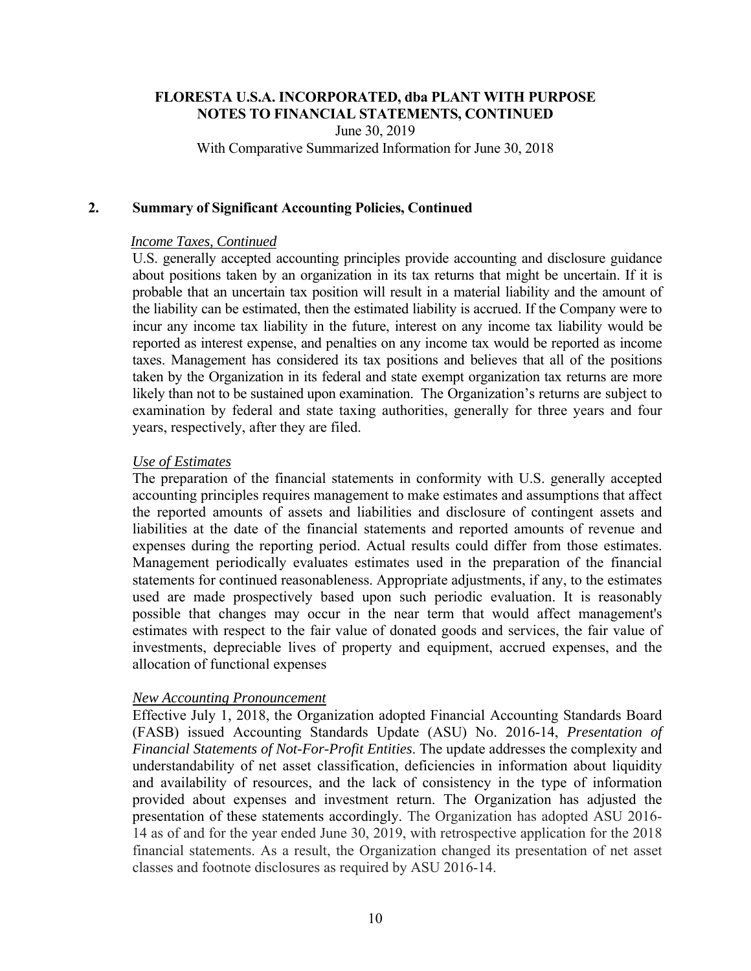June 30, 2019 With Comparative Summarized Information for June 30, 2018

#### **2. Summary of Significant Accounting Policies, Continued**

#### *Income Taxes, Continued*

U.S. generally accepted accounting principles provide accounting and disclosure guidance about positions taken by an organization in its tax returns that might be uncertain. If it is probable that an uncertain tax position will result in a material liability and the amount of the liability can be estimated, then the estimated liability is accrued. If the Company were to incur any income tax liability in the future, interest on any income tax liability would be reported as interest expense, and penalties on any income tax would be reported as income taxes. Management has considered its tax positions and believes that all of the positions taken by the Organization in its federal and state exempt organization tax returns are more likely than not to be sustained upon examination. The Organization's returns are subject to examination by federal and state taxing authorities, generally for three years and four years, respectively, after they are filed.

#### *Use of Estimates*

The preparation of the financial statements in conformity with U.S. generally accepted accounting principles requires management to make estimates and assumptions that affect the reported amounts of assets and liabilities and disclosure of contingent assets and liabilities at the date of the financial statements and reported amounts of revenue and expenses during the reporting period. Actual results could differ from those estimates. Management periodically evaluates estimates used in the preparation of the financial statements for continued reasonableness. Appropriate adjustments, if any, to the estimates used are made prospectively based upon such periodic evaluation. It is reasonably possible that changes may occur in the near term that would affect management's estimates with respect to the fair value of donated goods and services, the fair value of investments, depreciable lives of property and equipment, accrued expenses, and the allocation of functional expenses

#### *New Accounting Pronouncement*

Effective July 1, 2018, the Organization adopted Financial Accounting Standards Board (FASB) issued Accounting Standards Update (ASU) No. 2016-14, *Presentation of Financial Statements of Not-For-Profit Entities*. The update addresses the complexity and understandability of net asset classification, deficiencies in information about liquidity and availability of resources, and the lack of consistency in the type of information provided about expenses and investment return. The Organization has adjusted the presentation of these statements accordingly. The Organization has adopted ASU 2016- 14 as of and for the year ended June 30, 2019, with retrospective application for the 2018 financial statements. As a result, the Organization changed its presentation of net asset classes and footnote disclosures as required by ASU 2016-14.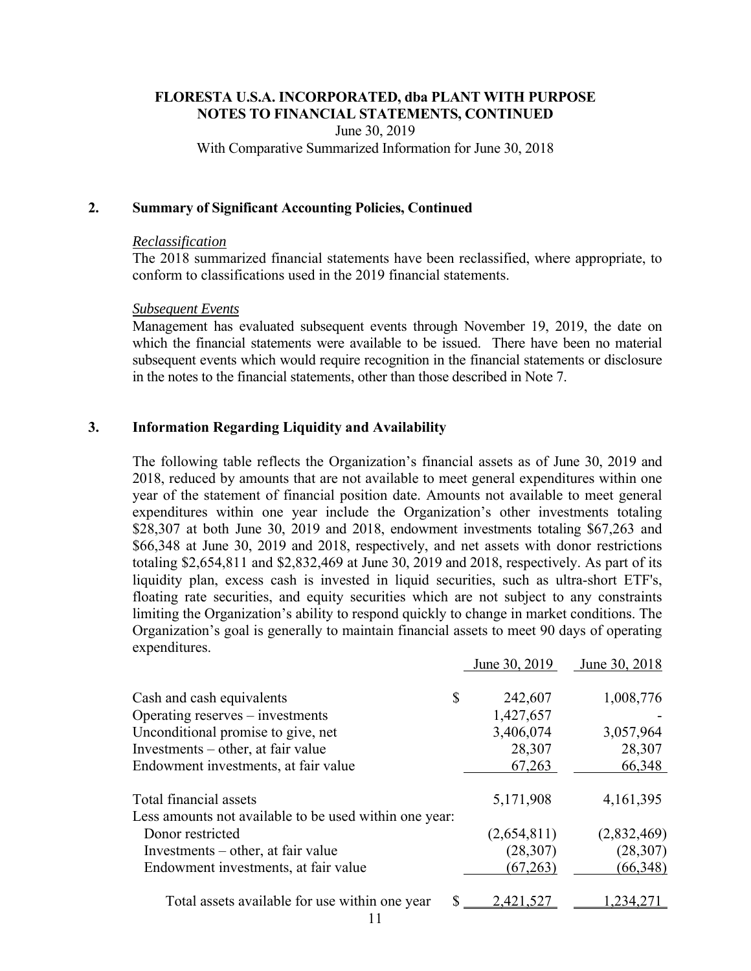June 30, 2019 With Comparative Summarized Information for June 30, 2018

#### **2. Summary of Significant Accounting Policies, Continued**

#### *Reclassification*

The 2018 summarized financial statements have been reclassified, where appropriate, to conform to classifications used in the 2019 financial statements.

#### *Subsequent Events*

Management has evaluated subsequent events through November 19, 2019, the date on which the financial statements were available to be issued. There have been no material subsequent events which would require recognition in the financial statements or disclosure in the notes to the financial statements, other than those described in Note 7.

# **3. Information Regarding Liquidity and Availability**

The following table reflects the Organization's financial assets as of June 30, 2019 and 2018, reduced by amounts that are not available to meet general expenditures within one year of the statement of financial position date. Amounts not available to meet general expenditures within one year include the Organization's other investments totaling \$28,307 at both June 30, 2019 and 2018, endowment investments totaling \$67,263 and \$66,348 at June 30, 2019 and 2018, respectively, and net assets with donor restrictions totaling \$2,654,811 and \$2,832,469 at June 30, 2019 and 2018, respectively. As part of its liquidity plan, excess cash is invested in liquid securities, such as ultra-short ETF's, floating rate securities, and equity securities which are not subject to any constraints limiting the Organization's ability to respond quickly to change in market conditions. The Organization's goal is generally to maintain financial assets to meet 90 days of operating expenditures.

|                                                        | June 30, 2019 | June 30, 2018 |
|--------------------------------------------------------|---------------|---------------|
| Cash and cash equivalents                              | \$<br>242,607 | 1,008,776     |
| Operating reserves $-$ investments                     | 1,427,657     |               |
| Unconditional promise to give, net                     | 3,406,074     | 3,057,964     |
| Investments – other, at fair value                     | 28,307        | 28,307        |
| Endowment investments, at fair value                   | 67,263        | 66,348        |
| Total financial assets                                 | 5,171,908     | 4, 161, 395   |
| Less amounts not available to be used within one year: |               |               |
| Donor restricted                                       | (2,654,811)   | (2,832,469)   |
| Investments – other, at fair value                     | (28, 307)     | (28, 307)     |
| Endowment investments, at fair value                   | (67,263)      | (66,348)      |
| Total assets available for use within one year         | 2,421.52      | 234.          |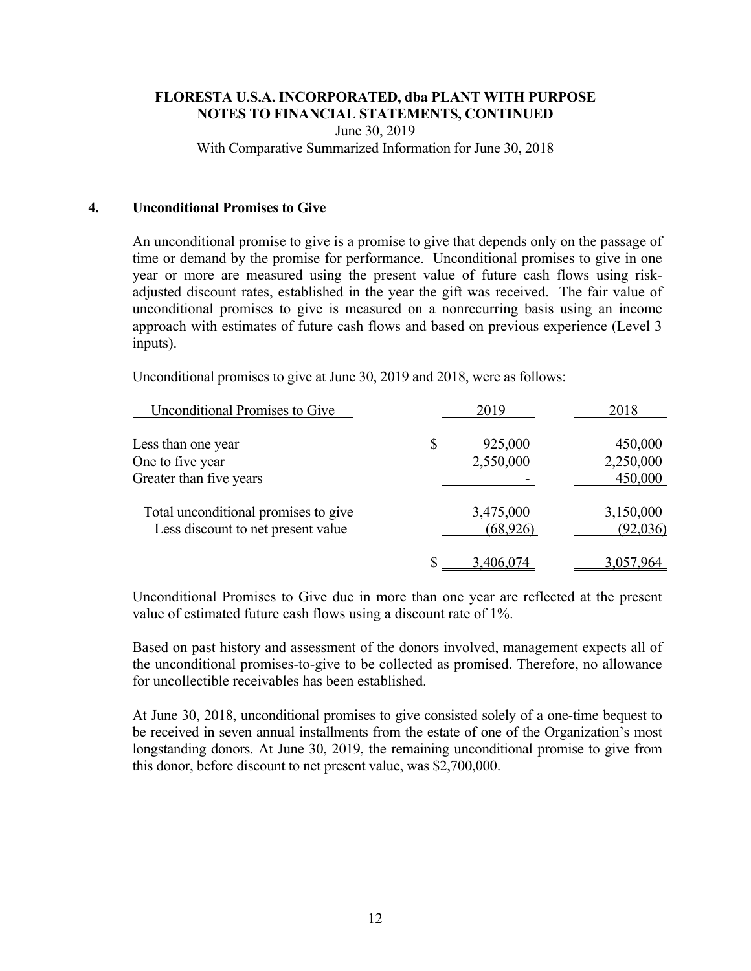June 30, 2019 With Comparative Summarized Information for June 30, 2018

#### **4. Unconditional Promises to Give**

An unconditional promise to give is a promise to give that depends only on the passage of time or demand by the promise for performance. Unconditional promises to give in one year or more are measured using the present value of future cash flows using riskadjusted discount rates, established in the year the gift was received. The fair value of unconditional promises to give is measured on a nonrecurring basis using an income approach with estimates of future cash flows and based on previous experience (Level 3 inputs).

Unconditional promises to give at June 30, 2019 and 2018, were as follows:

| <b>Unconditional Promises to Give</b> | 2019          | 2018      |
|---------------------------------------|---------------|-----------|
| Less than one year                    | \$<br>925,000 | 450,000   |
| One to five year                      | 2,550,000     | 2,250,000 |
| Greater than five years               |               | 450,000   |
| Total unconditional promises to give  | 3,475,000     | 3,150,000 |
| Less discount to net present value    | (68, 926)     | (92,036)  |
|                                       | 3.406.074     |           |

Unconditional Promises to Give due in more than one year are reflected at the present value of estimated future cash flows using a discount rate of 1%.

Based on past history and assessment of the donors involved, management expects all of the unconditional promises-to-give to be collected as promised. Therefore, no allowance for uncollectible receivables has been established.

At June 30, 2018, unconditional promises to give consisted solely of a one-time bequest to be received in seven annual installments from the estate of one of the Organization's most longstanding donors. At June 30, 2019, the remaining unconditional promise to give from this donor, before discount to net present value, was \$2,700,000.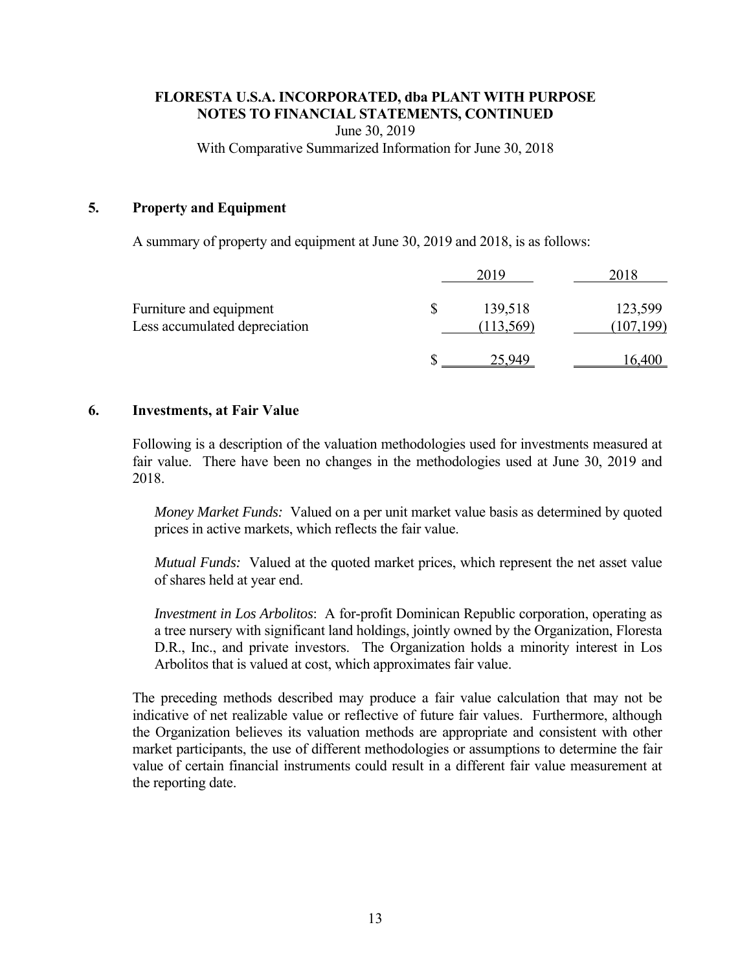June 30, 2019 With Comparative Summarized Information for June 30, 2018

# **5. Property and Equipment**

A summary of property and equipment at June 30, 2019 and 2018, is as follows:

| Furniture and equipment<br>Less accumulated depreciation | \$<br>139,518<br>(113, 569) | 123,599<br>(107, 199) |
|----------------------------------------------------------|-----------------------------|-----------------------|
|                                                          | 25 Q40                      |                       |

#### **6. Investments, at Fair Value**

Following is a description of the valuation methodologies used for investments measured at fair value. There have been no changes in the methodologies used at June 30, 2019 and 2018.

*Money Market Funds:* Valued on a per unit market value basis as determined by quoted prices in active markets, which reflects the fair value.

*Mutual Funds:* Valued at the quoted market prices, which represent the net asset value of shares held at year end.

*Investment in Los Arbolitos*: A for-profit Dominican Republic corporation, operating as a tree nursery with significant land holdings, jointly owned by the Organization, Floresta D.R., Inc., and private investors. The Organization holds a minority interest in Los Arbolitos that is valued at cost, which approximates fair value.

The preceding methods described may produce a fair value calculation that may not be indicative of net realizable value or reflective of future fair values. Furthermore, although the Organization believes its valuation methods are appropriate and consistent with other market participants, the use of different methodologies or assumptions to determine the fair value of certain financial instruments could result in a different fair value measurement at the reporting date.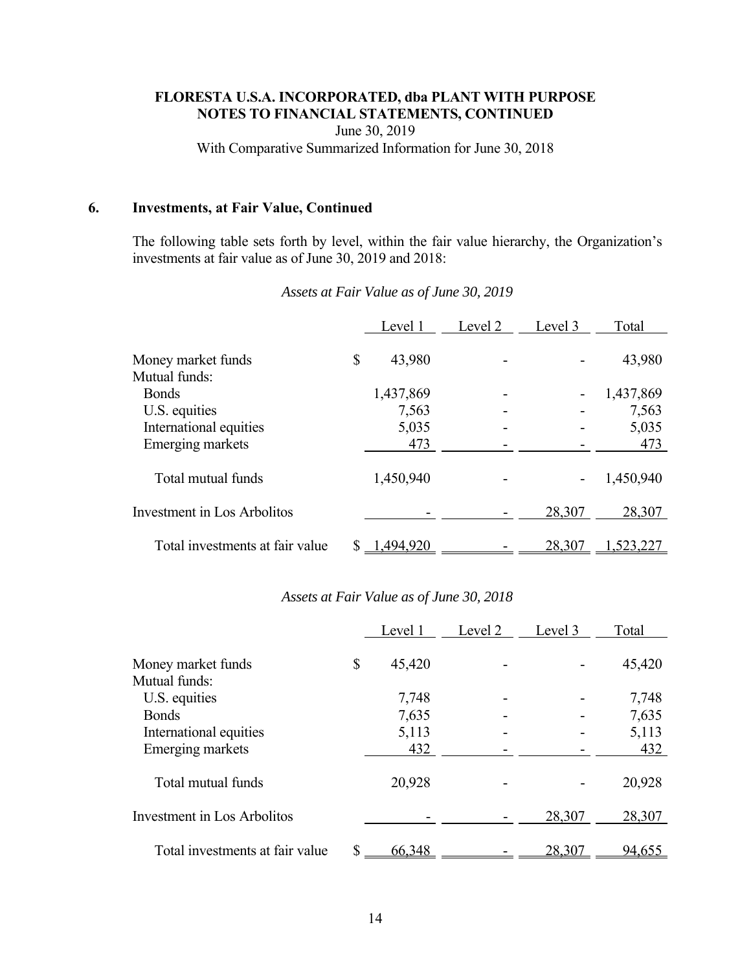June 30, 2019

With Comparative Summarized Information for June 30, 2018

#### **6. Investments, at Fair Value, Continued**

The following table sets forth by level, within the fair value hierarchy, the Organization's investments at fair value as of June 30, 2019 and 2018:

|                                     | Level 1      | Level 2 | Level 3 | Total           |
|-------------------------------------|--------------|---------|---------|-----------------|
| Money market funds<br>Mutual funds: | \$<br>43,980 |         |         | 43,980          |
| <b>Bonds</b>                        | 1,437,869    |         |         | 1,437,869       |
| U.S. equities                       | 7,563        |         |         | 7,563           |
| International equities              | 5,035        |         |         | 5,035           |
| Emerging markets                    | 473          |         |         | 473             |
| Total mutual funds                  | 1,450,940    |         |         | 1,450,940       |
| Investment in Los Arbolitos         |              |         | 28,307  | 28,307          |
| Total investments at fair value     | 1,494,920    |         | 28,307  | .52 <u>3,22</u> |

*Assets at Fair Value as of June 30, 2019* 

# *Assets at Fair Value as of June 30, 2018*

|                                     | Level 1      | Level 2 | Level 3 | Total  |
|-------------------------------------|--------------|---------|---------|--------|
| Money market funds<br>Mutual funds: | \$<br>45,420 |         |         | 45,420 |
| U.S. equities                       | 7,748        |         |         | 7,748  |
| <b>Bonds</b>                        | 7,635        |         |         | 7,635  |
| International equities              | 5,113        |         |         | 5,113  |
| Emerging markets                    | 432          |         |         | 432    |
| Total mutual funds                  | 20,928       |         |         | 20,928 |
| Investment in Los Arbolitos         |              |         | 28,307  | 28,307 |
| Total investments at fair value     | 66,348       |         | 28,307  | 94,655 |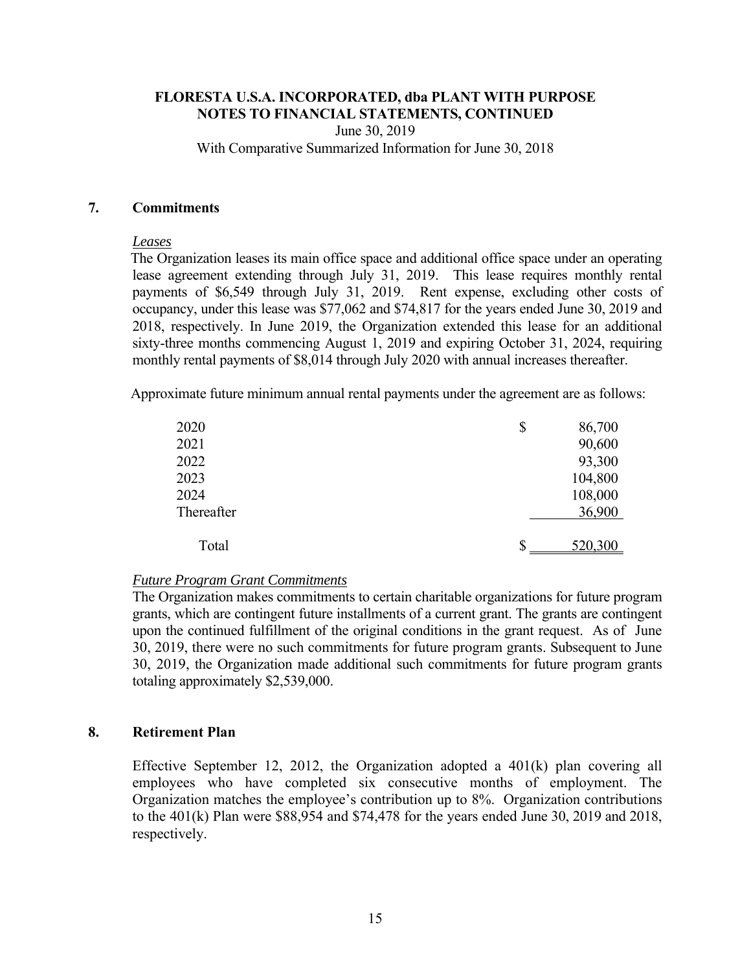June 30, 2019 With Comparative Summarized Information for June 30, 2018

#### **7. Commitments**

#### *Leases*

The Organization leases its main office space and additional office space under an operating lease agreement extending through July 31, 2019. This lease requires monthly rental payments of \$6,549 through July 31, 2019. Rent expense, excluding other costs of occupancy, under this lease was \$77,062 and \$74,817 for the years ended June 30, 2019 and 2018, respectively. In June 2019, the Organization extended this lease for an additional sixty-three months commencing August 1, 2019 and expiring October 31, 2024, requiring monthly rental payments of \$8,014 through July 2020 with annual increases thereafter.

Approximate future minimum annual rental payments under the agreement are as follows:

| \$<br>86,700  |
|---------------|
| 90,600        |
| 93,300        |
| 104,800       |
| 108,000       |
| 36,900        |
| \$<br>520,300 |
|               |

# *Future Program Grant Commitments*

The Organization makes commitments to certain charitable organizations for future program grants, which are contingent future installments of a current grant. The grants are contingent upon the continued fulfillment of the original conditions in the grant request. As of June 30, 2019, there were no such commitments for future program grants. Subsequent to June 30, 2019, the Organization made additional such commitments for future program grants totaling approximately \$2,539,000.

# **8. Retirement Plan**

Effective September 12, 2012, the Organization adopted a  $401(k)$  plan covering all employees who have completed six consecutive months of employment. The Organization matches the employee's contribution up to 8%. Organization contributions to the 401(k) Plan were \$88,954 and \$74,478 for the years ended June 30, 2019 and 2018, respectively.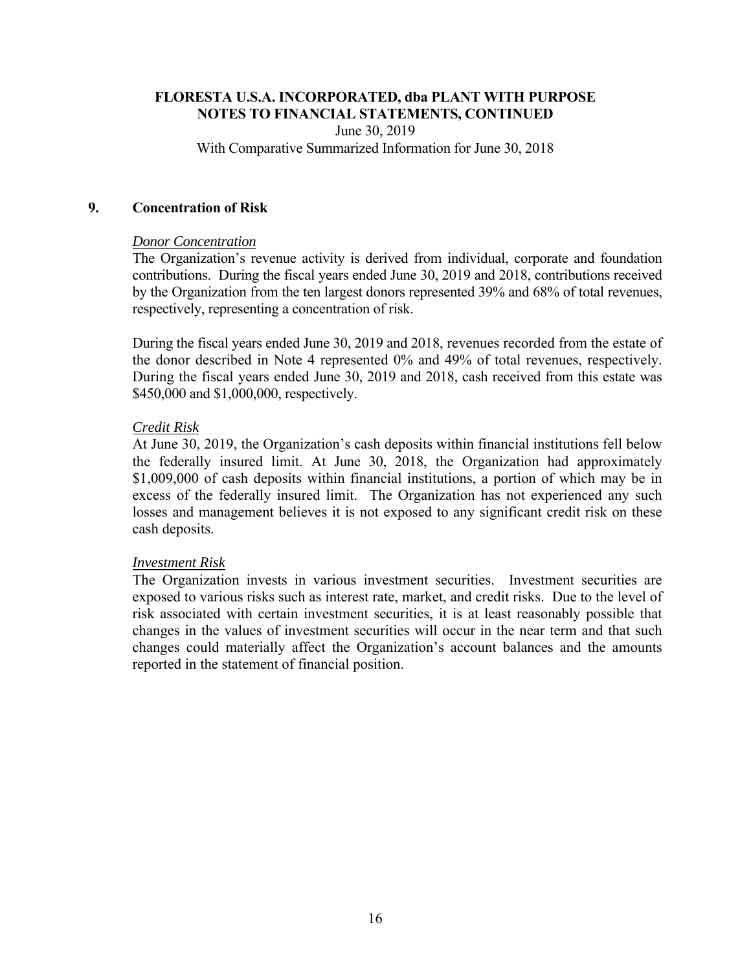June 30, 2019 With Comparative Summarized Information for June 30, 2018

#### **9. Concentration of Risk**

#### *Donor Concentration*

The Organization's revenue activity is derived from individual, corporate and foundation contributions. During the fiscal years ended June 30, 2019 and 2018, contributions received by the Organization from the ten largest donors represented 39% and 68% of total revenues, respectively, representing a concentration of risk.

During the fiscal years ended June 30, 2019 and 2018, revenues recorded from the estate of the donor described in Note 4 represented 0% and 49% of total revenues, respectively. During the fiscal years ended June 30, 2019 and 2018, cash received from this estate was \$450,000 and \$1,000,000, respectively.

# *Credit Risk*

 At June 30, 2019, the Organization's cash deposits within financial institutions fell below the federally insured limit. At June 30, 2018, the Organization had approximately \$1,009,000 of cash deposits within financial institutions, a portion of which may be in excess of the federally insured limit. The Organization has not experienced any such losses and management believes it is not exposed to any significant credit risk on these cash deposits.

# *Investment Risk*

The Organization invests in various investment securities. Investment securities are exposed to various risks such as interest rate, market, and credit risks. Due to the level of risk associated with certain investment securities, it is at least reasonably possible that changes in the values of investment securities will occur in the near term and that such changes could materially affect the Organization's account balances and the amounts reported in the statement of financial position.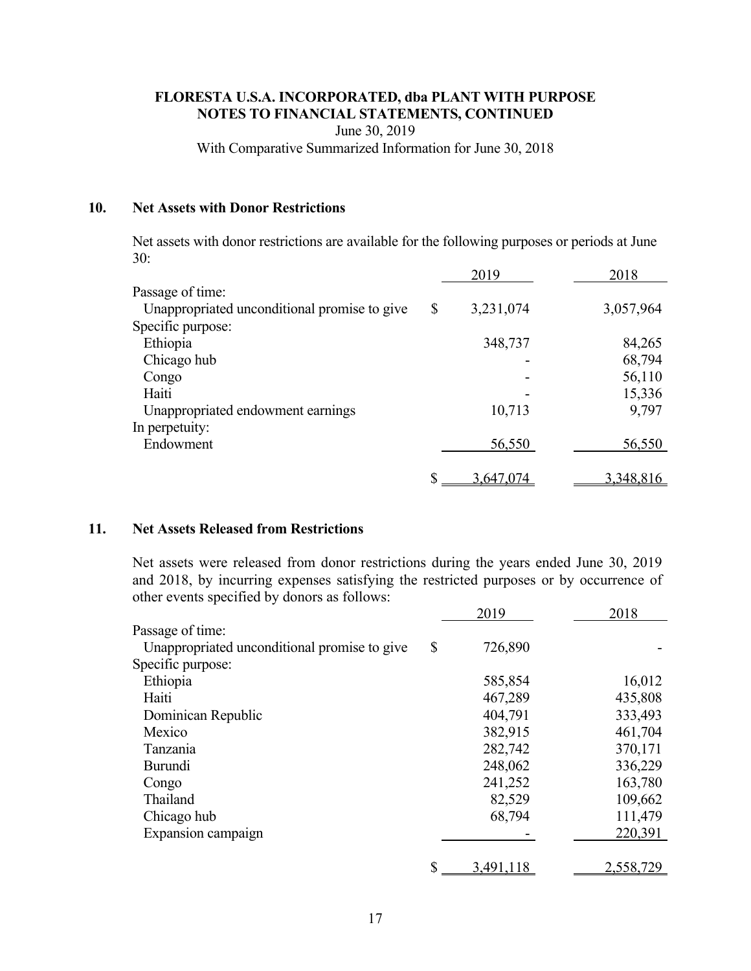June 30, 2019

With Comparative Summarized Information for June 30, 2018

#### **10. Net Assets with Donor Restrictions**

Net assets with donor restrictions are available for the following purposes or periods at June 30:

|                                              | 2019            | 2018      |
|----------------------------------------------|-----------------|-----------|
| Passage of time:                             |                 |           |
| Unappropriated unconditional promise to give | \$<br>3,231,074 | 3,057,964 |
| Specific purpose:                            |                 |           |
| Ethiopia                                     | 348,737         | 84,265    |
| Chicago hub                                  |                 | 68,794    |
| Congo                                        |                 | 56,110    |
| Haiti                                        |                 | 15,336    |
| Unappropriated endowment earnings            | 10,713          | 9,797     |
| In perpetuity:                               |                 |           |
| Endowment                                    | 56,550          | 56,550    |
|                                              | \$<br>3,647,074 | 3,348,816 |

#### **11. Net Assets Released from Restrictions**

Net assets were released from donor restrictions during the years ended June 30, 2019 and 2018, by incurring expenses satisfying the restricted purposes or by occurrence of other events specified by donors as follows:

|                                              | 2019            | 2018      |
|----------------------------------------------|-----------------|-----------|
| Passage of time:                             |                 |           |
| Unappropriated unconditional promise to give | \$<br>726,890   |           |
| Specific purpose:                            |                 |           |
| Ethiopia                                     | 585,854         | 16,012    |
| Haiti                                        | 467,289         | 435,808   |
| Dominican Republic                           | 404,791         | 333,493   |
| Mexico                                       | 382,915         | 461,704   |
| Tanzania                                     | 282,742         | 370,171   |
| Burundi                                      | 248,062         | 336,229   |
| Congo                                        | 241,252         | 163,780   |
| Thailand                                     | 82,529          | 109,662   |
| Chicago hub                                  | 68,794          | 111,479   |
| Expansion campaign                           |                 | 220,391   |
|                                              |                 |           |
|                                              | \$<br>3,491,118 | 2,558,729 |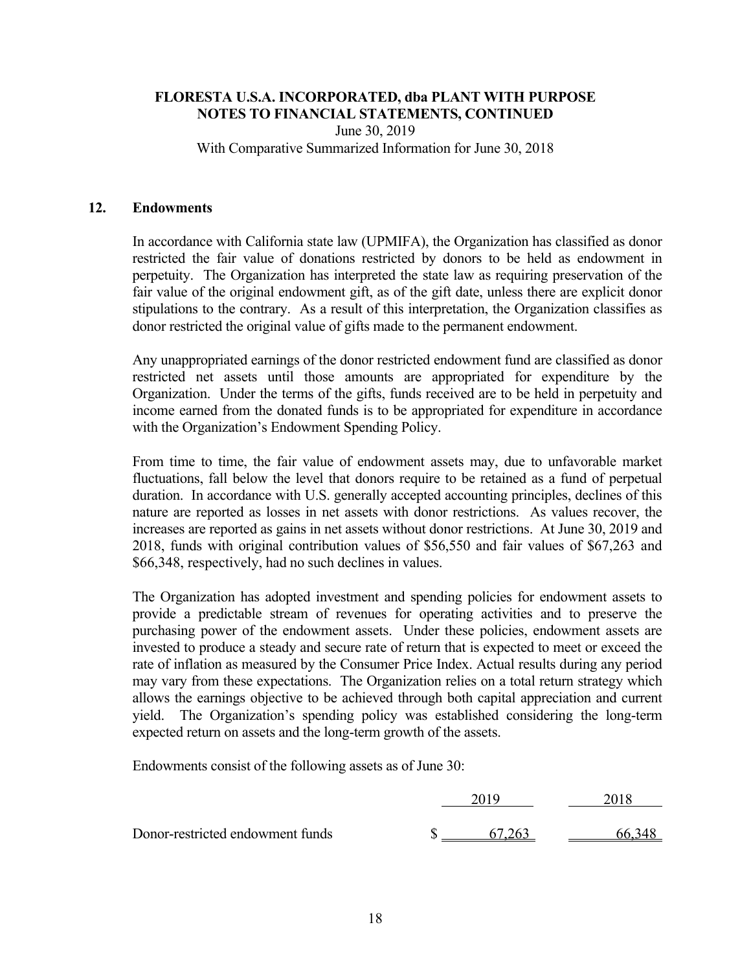June 30, 2019 With Comparative Summarized Information for June 30, 2018

#### **12. Endowments**

In accordance with California state law (UPMIFA), the Organization has classified as donor restricted the fair value of donations restricted by donors to be held as endowment in perpetuity. The Organization has interpreted the state law as requiring preservation of the fair value of the original endowment gift, as of the gift date, unless there are explicit donor stipulations to the contrary. As a result of this interpretation, the Organization classifies as donor restricted the original value of gifts made to the permanent endowment.

Any unappropriated earnings of the donor restricted endowment fund are classified as donor restricted net assets until those amounts are appropriated for expenditure by the Organization. Under the terms of the gifts, funds received are to be held in perpetuity and income earned from the donated funds is to be appropriated for expenditure in accordance with the Organization's Endowment Spending Policy.

From time to time, the fair value of endowment assets may, due to unfavorable market fluctuations, fall below the level that donors require to be retained as a fund of perpetual duration. In accordance with U.S. generally accepted accounting principles, declines of this nature are reported as losses in net assets with donor restrictions. As values recover, the increases are reported as gains in net assets without donor restrictions. At June 30, 2019 and 2018, funds with original contribution values of \$56,550 and fair values of \$67,263 and \$66,348, respectively, had no such declines in values.

The Organization has adopted investment and spending policies for endowment assets to provide a predictable stream of revenues for operating activities and to preserve the purchasing power of the endowment assets. Under these policies, endowment assets are invested to produce a steady and secure rate of return that is expected to meet or exceed the rate of inflation as measured by the Consumer Price Index. Actual results during any period may vary from these expectations. The Organization relies on a total return strategy which allows the earnings objective to be achieved through both capital appreciation and current yield. The Organization's spending policy was established considering the long-term expected return on assets and the long-term growth of the assets.

Endowments consist of the following assets as of June 30:

|                                  | ንስ10 |     |  |
|----------------------------------|------|-----|--|
| Donor-restricted endowment funds |      | วผว |  |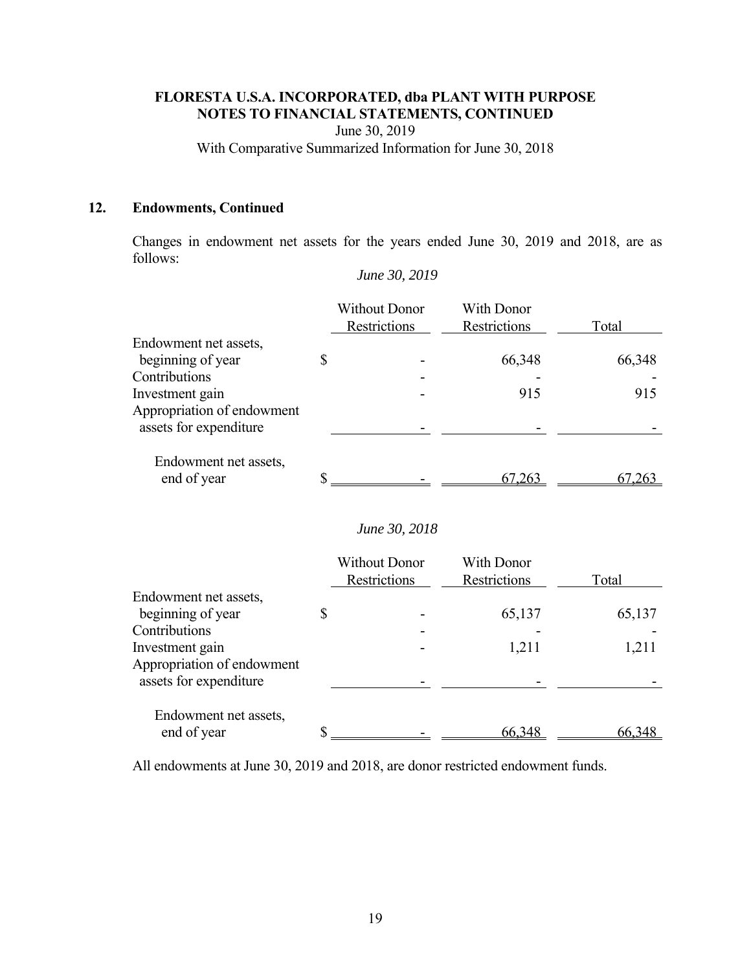June 30, 2019

With Comparative Summarized Information for June 30, 2018

# **12. Endowments, Continued**

Changes in endowment net assets for the years ended June 30, 2019 and 2018, are as follows:

|                                                                | <b>Without Donor</b><br>Restrictions | With Donor<br>Restrictions        | Total  |
|----------------------------------------------------------------|--------------------------------------|-----------------------------------|--------|
| Endowment net assets,<br>beginning of year                     | \$                                   | 66,348                            | 66,348 |
| Contributions<br>Investment gain<br>Appropriation of endowment |                                      | 915                               | 915    |
| assets for expenditure                                         |                                      |                                   |        |
| Endowment net assets,<br>end of year                           | \$                                   | 67,263                            | 67,263 |
|                                                                | June 30, 2018                        |                                   |        |
|                                                                | <b>Without Donor</b><br>Restrictions | <b>With Donor</b><br>Restrictions | Total  |
| Endowment net assets,                                          |                                      |                                   |        |
| beginning of year                                              | \$                                   | 65,137                            | 65,137 |
| Contributions<br>Investment gain                               |                                      | 1,211                             | 1,211  |
| Appropriation of endowment<br>assets for expenditure           |                                      |                                   |        |
| Endowment net assets,<br>end of year                           | \$                                   | 66,348                            | 66,348 |
|                                                                |                                      |                                   |        |

*June 30, 2019* 

All endowments at June 30, 2019 and 2018, are donor restricted endowment funds.